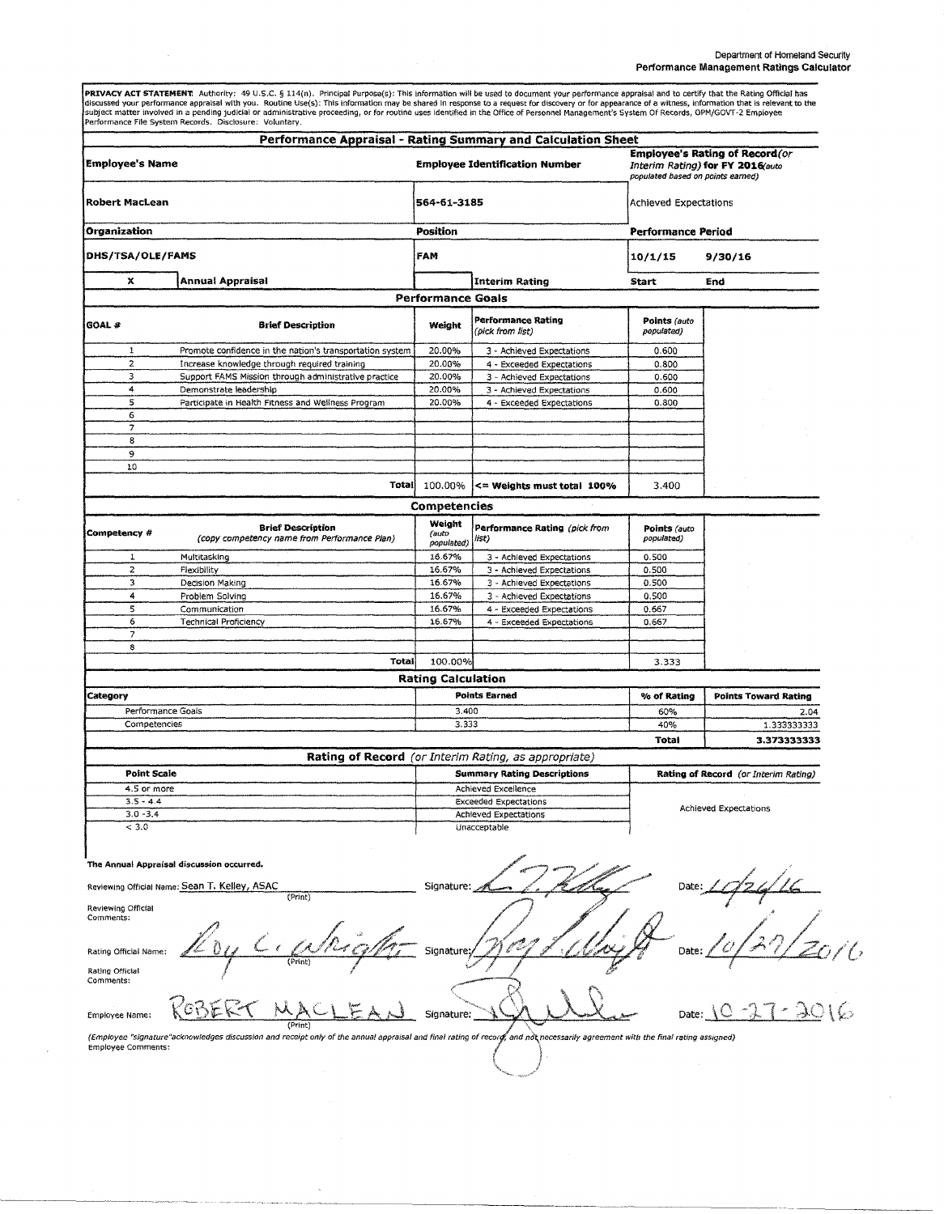**PRIVACY ACT STATEMENT**. Authority: 49 U.S.C. § 114(n). Principal Purpose(s): This information will be used to document your performance appraisal and to certify that the Rating Official has<br>discussed your performance appr

| <b>Employee's Name</b><br><b>Robert MacLean</b><br>Organization<br>DHS/TSA/OLE/FAMS      |                                                                                                                                                                                 | Performance Appraisal - Rating Summary and Calculation Sheet<br><b>Employee Identification Number</b><br>564-61-3185<br><b>Position</b><br>FAM |                                        | <b>Employee's Rating of Record (or</b><br>Interim Rating) for FY 2016(auto<br>populated based on points earned)<br>Achieved Expectations<br><b>Performance Period</b><br>10/1/15<br>9/30/16 |                             |        |                          |                          |                                        |                            |     |
|------------------------------------------------------------------------------------------|---------------------------------------------------------------------------------------------------------------------------------------------------------------------------------|------------------------------------------------------------------------------------------------------------------------------------------------|----------------------------------------|---------------------------------------------------------------------------------------------------------------------------------------------------------------------------------------------|-----------------------------|--------|--------------------------|--------------------------|----------------------------------------|----------------------------|-----|
|                                                                                          |                                                                                                                                                                                 |                                                                                                                                                |                                        |                                                                                                                                                                                             |                             | х      | <b>Annual Appraisal</b>  |                          | Interim Rating                         | Start                      | End |
|                                                                                          |                                                                                                                                                                                 |                                                                                                                                                |                                        |                                                                                                                                                                                             |                             |        |                          | <b>Performance Goals</b> |                                        |                            |     |
|                                                                                          |                                                                                                                                                                                 |                                                                                                                                                |                                        |                                                                                                                                                                                             |                             | GOAL # | <b>Brief Description</b> | Weight                   | Performance Rating<br>(pick from list) | Points (auto<br>populated) |     |
| 1                                                                                        | Promote confidence in the nation's transportation system                                                                                                                        | 20.00%                                                                                                                                         | 3 - Achieved Expectations              | 0.600                                                                                                                                                                                       |                             |        |                          |                          |                                        |                            |     |
| 2                                                                                        | Increase knowledge through required training                                                                                                                                    | 20.00%                                                                                                                                         | 4 - Exceeded Expectations              | 0.800                                                                                                                                                                                       |                             |        |                          |                          |                                        |                            |     |
| 3                                                                                        | Support FAMS Mission through administrative practice                                                                                                                            | 20.00%                                                                                                                                         | 3 - Achieved Expectations              | 0.600                                                                                                                                                                                       |                             |        |                          |                          |                                        |                            |     |
| 4                                                                                        | Demonstrate leadership                                                                                                                                                          | 20.00%                                                                                                                                         | 3 - Achieved Expectations              | 0.600                                                                                                                                                                                       |                             |        |                          |                          |                                        |                            |     |
| 5                                                                                        | Participate in Health Fitness and Wellness Program                                                                                                                              | 20.00%                                                                                                                                         | 4 - Exceeded Expectations              | 0.800                                                                                                                                                                                       |                             |        |                          |                          |                                        |                            |     |
| 6                                                                                        |                                                                                                                                                                                 |                                                                                                                                                |                                        |                                                                                                                                                                                             |                             |        |                          |                          |                                        |                            |     |
| $\overline{7}$                                                                           |                                                                                                                                                                                 |                                                                                                                                                |                                        |                                                                                                                                                                                             |                             |        |                          |                          |                                        |                            |     |
| 8                                                                                        |                                                                                                                                                                                 |                                                                                                                                                |                                        |                                                                                                                                                                                             |                             |        |                          |                          |                                        |                            |     |
| 9                                                                                        |                                                                                                                                                                                 |                                                                                                                                                |                                        |                                                                                                                                                                                             |                             |        |                          |                          |                                        |                            |     |
| 10                                                                                       | Totali                                                                                                                                                                          | 100.00%                                                                                                                                        | $\leq$ Weights must total 100%         | 3.400                                                                                                                                                                                       |                             |        |                          |                          |                                        |                            |     |
|                                                                                          |                                                                                                                                                                                 | Competencies                                                                                                                                   |                                        |                                                                                                                                                                                             |                             |        |                          |                          |                                        |                            |     |
| Competency #                                                                             | <b>Brief Description</b><br>(copy competency name from Performance Plan)                                                                                                        | Weight<br>(auto<br>populated)                                                                                                                  | Performance Rating (pick from<br>list) | Points (auto<br>populated)                                                                                                                                                                  |                             |        |                          |                          |                                        |                            |     |
| 1                                                                                        | Multitasking                                                                                                                                                                    | 16.67%                                                                                                                                         | 3 - Achieved Expectations              | 0.500                                                                                                                                                                                       |                             |        |                          |                          |                                        |                            |     |
| $\mathbf{z}$                                                                             | Flexibility                                                                                                                                                                     | 16.67%                                                                                                                                         | 3 - Achieved Expectations              | 0.500                                                                                                                                                                                       |                             |        |                          |                          |                                        |                            |     |
| 3                                                                                        | Decision Making                                                                                                                                                                 | 16.67%                                                                                                                                         | 3 - Achieved Expectations              | 0.500                                                                                                                                                                                       |                             |        |                          |                          |                                        |                            |     |
| $\ddot{a}$                                                                               | Problem Solving                                                                                                                                                                 | 16.67%                                                                                                                                         | 3 - Achieved Expectations              | 0.500                                                                                                                                                                                       |                             |        |                          |                          |                                        |                            |     |
| 5                                                                                        | Communication                                                                                                                                                                   | 16.67%                                                                                                                                         | 4 - Exceeded Expectations              | 0.667                                                                                                                                                                                       |                             |        |                          |                          |                                        |                            |     |
| 6                                                                                        | <b>Technical Proficiency</b>                                                                                                                                                    | 16.67%                                                                                                                                         | 4 - Exceeded Expectations              | 0.667                                                                                                                                                                                       |                             |        |                          |                          |                                        |                            |     |
| $\overline{z}$                                                                           |                                                                                                                                                                                 |                                                                                                                                                |                                        |                                                                                                                                                                                             |                             |        |                          |                          |                                        |                            |     |
| 8                                                                                        |                                                                                                                                                                                 |                                                                                                                                                |                                        |                                                                                                                                                                                             |                             |        |                          |                          |                                        |                            |     |
|                                                                                          | Total                                                                                                                                                                           | 100.00%                                                                                                                                        |                                        | 3.333                                                                                                                                                                                       |                             |        |                          |                          |                                        |                            |     |
|                                                                                          |                                                                                                                                                                                 | <b>Rating Calculation</b>                                                                                                                      |                                        |                                                                                                                                                                                             |                             |        |                          |                          |                                        |                            |     |
| Category                                                                                 |                                                                                                                                                                                 | <b>Points Earned</b>                                                                                                                           |                                        | % of Rating                                                                                                                                                                                 | <b>Points Toward Rating</b> |        |                          |                          |                                        |                            |     |
| Performance Goals                                                                        |                                                                                                                                                                                 | 3.400                                                                                                                                          |                                        | 60%                                                                                                                                                                                         | 2.04                        |        |                          |                          |                                        |                            |     |
| Competencies                                                                             |                                                                                                                                                                                 | 3.333                                                                                                                                          |                                        | 40%                                                                                                                                                                                         | 1.333333333                 |        |                          |                          |                                        |                            |     |
|                                                                                          |                                                                                                                                                                                 |                                                                                                                                                |                                        | Total                                                                                                                                                                                       | 3.373333333                 |        |                          |                          |                                        |                            |     |
|                                                                                          |                                                                                                                                                                                 |                                                                                                                                                |                                        |                                                                                                                                                                                             |                             |        |                          |                          |                                        |                            |     |
| <b>Point Scale</b>                                                                       |                                                                                                                                                                                 | <b>Rating of Record</b> (or Interim Rating, as appropriate)<br><b>Summary Rating Descriptions</b>                                              |                                        | Rating of Record (or Interim Rating)                                                                                                                                                        |                             |        |                          |                          |                                        |                            |     |
| 4.5 or more                                                                              |                                                                                                                                                                                 | Achieved Excellence                                                                                                                            |                                        |                                                                                                                                                                                             |                             |        |                          |                          |                                        |                            |     |
| $3.5 - 4.4$                                                                              |                                                                                                                                                                                 |                                                                                                                                                |                                        |                                                                                                                                                                                             |                             |        |                          |                          |                                        |                            |     |
| $3.0 - 3.4$                                                                              |                                                                                                                                                                                 | <b>Exceeded Expectations</b>                                                                                                                   |                                        | <b>Achieved Expectations</b>                                                                                                                                                                |                             |        |                          |                          |                                        |                            |     |
| < 3.0                                                                                    |                                                                                                                                                                                 | Achieved Expectations<br>Unacceptable                                                                                                          |                                        |                                                                                                                                                                                             |                             |        |                          |                          |                                        |                            |     |
|                                                                                          | The Annual Appraisal discussion occurred.<br>Reviewing Official Name: Sean T. Kelley, ASAC<br>(Print)                                                                           | Signature:                                                                                                                                     |                                        | Date:                                                                                                                                                                                       |                             |        |                          |                          |                                        |                            |     |
| Reviewing Official<br>Comments:<br>Rating Official Name:<br>Rating Official<br>Comments: | (Print)                                                                                                                                                                         | Signature:                                                                                                                                     |                                        | Date:                                                                                                                                                                                       |                             |        |                          |                          |                                        |                            |     |
| Employee Name:                                                                           |                                                                                                                                                                                 | Signature:                                                                                                                                     |                                        |                                                                                                                                                                                             |                             |        |                          |                          |                                        |                            |     |
| <b>Employee Comments:</b>                                                                | (Employee "signature"acknowledges discussion and receipt only of the annual appraisal and final rating of record, and not necessarily agreement with the final rating assigned) |                                                                                                                                                |                                        |                                                                                                                                                                                             |                             |        |                          |                          |                                        |                            |     |
|                                                                                          |                                                                                                                                                                                 |                                                                                                                                                |                                        |                                                                                                                                                                                             |                             |        |                          |                          |                                        |                            |     |

 $\bar{\mathcal{A}}$ 

 $\bar{\gamma}$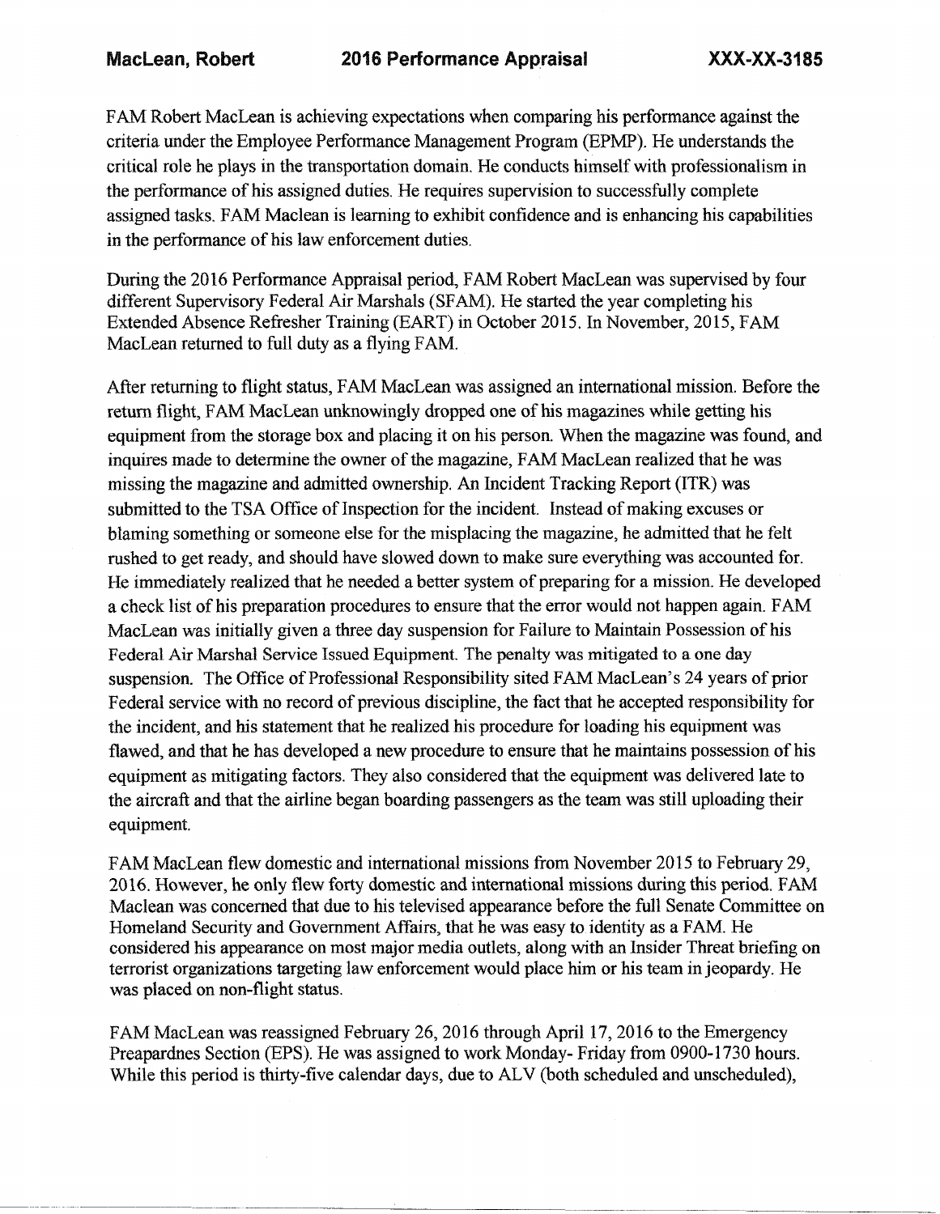FAM Robert MacLean is achieving expectations when comparing his performance against the criteria under the Employee Performance Management Program (EPMP). He understands the critical role he plays in the transportation domain. He conducts himself with professionalism in the performance of his assigned duties. He requires supervision to successfully complete assigned tasks. FAM Maclean is learning to exhibit confidence and is enhancing his capabilities in the performance of his law enforcement duties.

During the 2016 Performance Appraisal period, FAM Robert MacLean was supervised by four different Supervisory Federal Air Marshals (SFAM). He started the year completing his Extended Absence Refresher Training (EART) in October 2015. In November, 2015, FAM MacLean returned to full duty as a flying FAM.

After returning to flight status, FAM MacLean was assigned an international mission. Before the return flight, FAM MacLean unknowingly dropped one of his magazines while getting his equipment from the storage box and placing it on his person. When the magazine was found, and inquires made to determine the owner of the magazine, FAM MacLean realized that he was missing the magazine and admitted ownership. An Incident Tracking Report (ITR) was submitted to the TSA Office of Inspection for the incident. Instead of making excuses or blaming something or someone else for the misplacing the magazine, he admitted that he felt rushed to get ready, and should have slowed down to make sure everything was accounted for. He immediately realized that he needed a better system of preparing for a mission. He developed a check list of his preparation procedures to ensure that the error would not happen again. FAM MacLean was initially given a three day suspension for Failure to Maintain Possession of his Federal Air Marshal Service Issued Equipment. The penalty was mitigated to a one day suspension. The Office of Professional Responsibility sited FAM MacLean's 24 years of prior Federal service with no record of previous discipline, the fact that he accepted responsibility for the incident, and his statement that he realized his procedure for loading his equipment was flawed, and that he has developed a new procedure to ensure that he maintains possession of his equipment as mitigating factors. They also considered that the equipment was delivered late to the aircraft and that the airline began boarding passengers as the team was still uploading their equipment.

FAM MacLean flew domestic and international missions from November 2015 to February 29, 2016. However, he only flew forty domestic and international missions during this period. FAM Maclean was concerned that due to his televised appearance before the full Senate Committee on Homeland Security and Government Affairs, that he was easy to identity as a FAM. He considered his appearance on most major media outlets, along with an Insider Threat briefing on terrorist organizations targeting law enforcement would place him or his team in jeopardy. He was placed on non-flight status.

FAM MacLean was reassigned February 26, 2016 through April 17, 2016 to the Emergency Preapardnes Section (EPS). He was assigned to work Monday- Friday from 0900-1730 hours. While this period is thirty-five calendar days, due to ALV (both scheduled and unscheduled),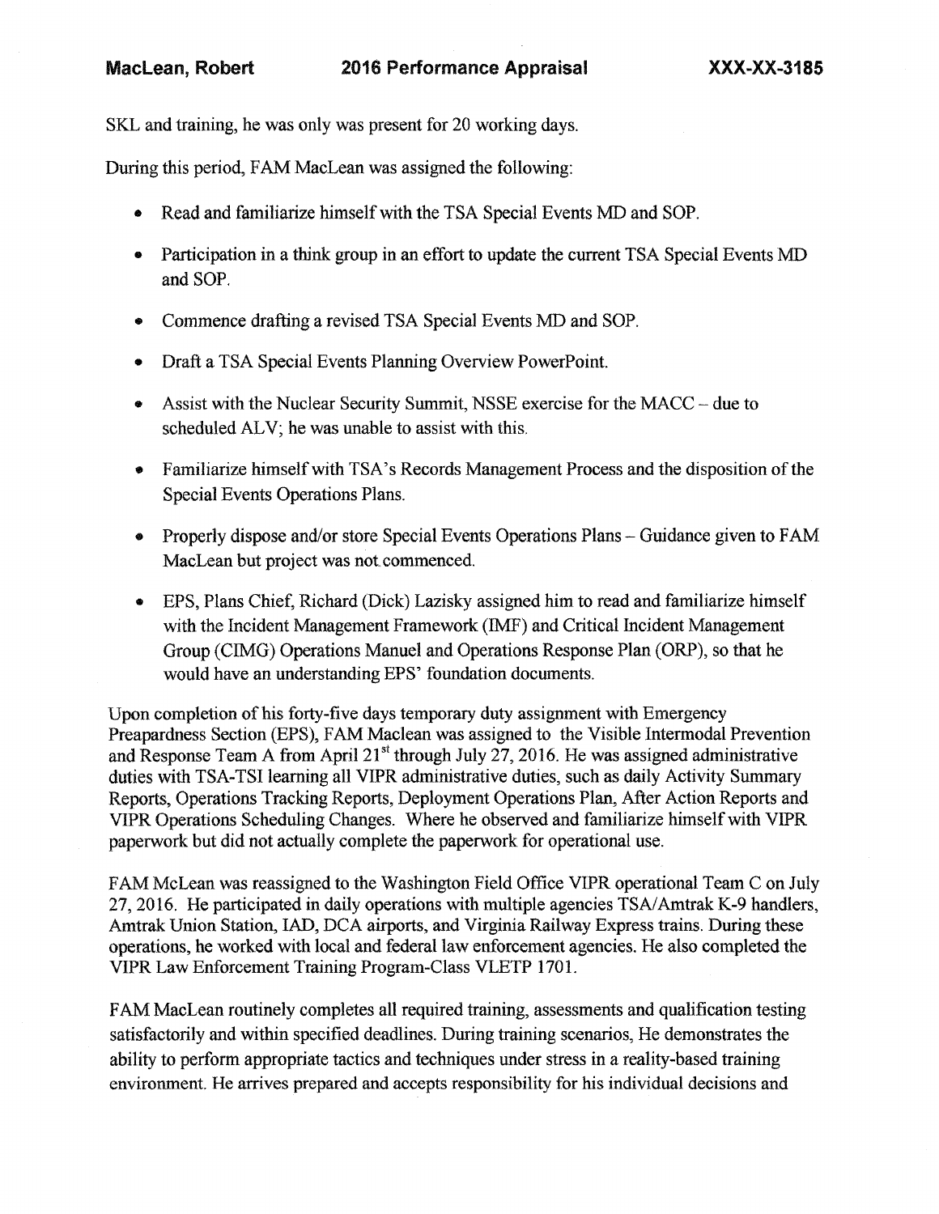## MacLean, Robert 2016 Performance Appraisal XXX-XX-3185

SKL and training, he was only was present for 20 working days.

During this period, FAM MacLean was assigned the following:

- Read and familiarize himselfwith the TSA Special EventsMD and SOP.
- Participation in a think group in an effort to update the current TSA Special Events MD and SOP.
- Commence drafting a revised TSA Special Events MD and SOP.
- Draft a TSA Special Events Planning Overview PowerPoint.
- Assist with the Nuclear Security Summit, NSSE exercise for the MACC due to scheduled ALV; he was unable to assist with this.
- Familiarize himself with TSA's Records Management Process and the disposition of the Special Events Operations Plans.
- Properly dispose and/or store Special Events Operations Plans Guidance given to FAM MacLean but project was not commenced.
- EPS, Plans Chief, Richard (Dick) Lazisky assigned him to read and familiarize himself with the Incident Management Framework (IMF) and Critical Incident Management Group (CIMG) Operations Manuel and Operations Response Plan (ORP), so that he would have an understanding EPS' foundation documents.

Upon completion of his forty-five days temporary duty assignment with Emergency Preapardness Section (EPS), FAM Maclean was assigned to the Visible Intermodal Prevention and Response Team A from April  $21<sup>st</sup>$  through July 27, 2016. He was assigned administrative duties with TSA-TSI learning all VIPR administrative duties, such as daily Activity Summary Reports, Operations Tracking Reports, Deployment Operations Plan, After Action Reports and VIPR Operations Scheduling Changes. Where he observed and familiarize himselfwith VIPR paperwork but did not actually complete the paperwork for operational use.

FAM McLean was reassigned to the Washington Field Office VIPR operational Team C on July 27,2016. He participated in daily operations with multiple agencies TSA/Amtrak K-9 handlers, Amtrak Union Station, lAD, DCA airports, and Virginia Railway Express trains. During these operations, he worked with local and federal law enforcement agencies. He also completed the VIPR Law Enforcement Training Program-Class VLETP 1701.

FAM MacLean routinely completes all required training, assessments and qualification testing satisfactorily and within specified deadlines. During training scenarios, He demonstrates the ability to perform appropriate tactics and techniques under stress in a reality-based training environment. He arrives prepared and accepts responsibility for his individual decisions and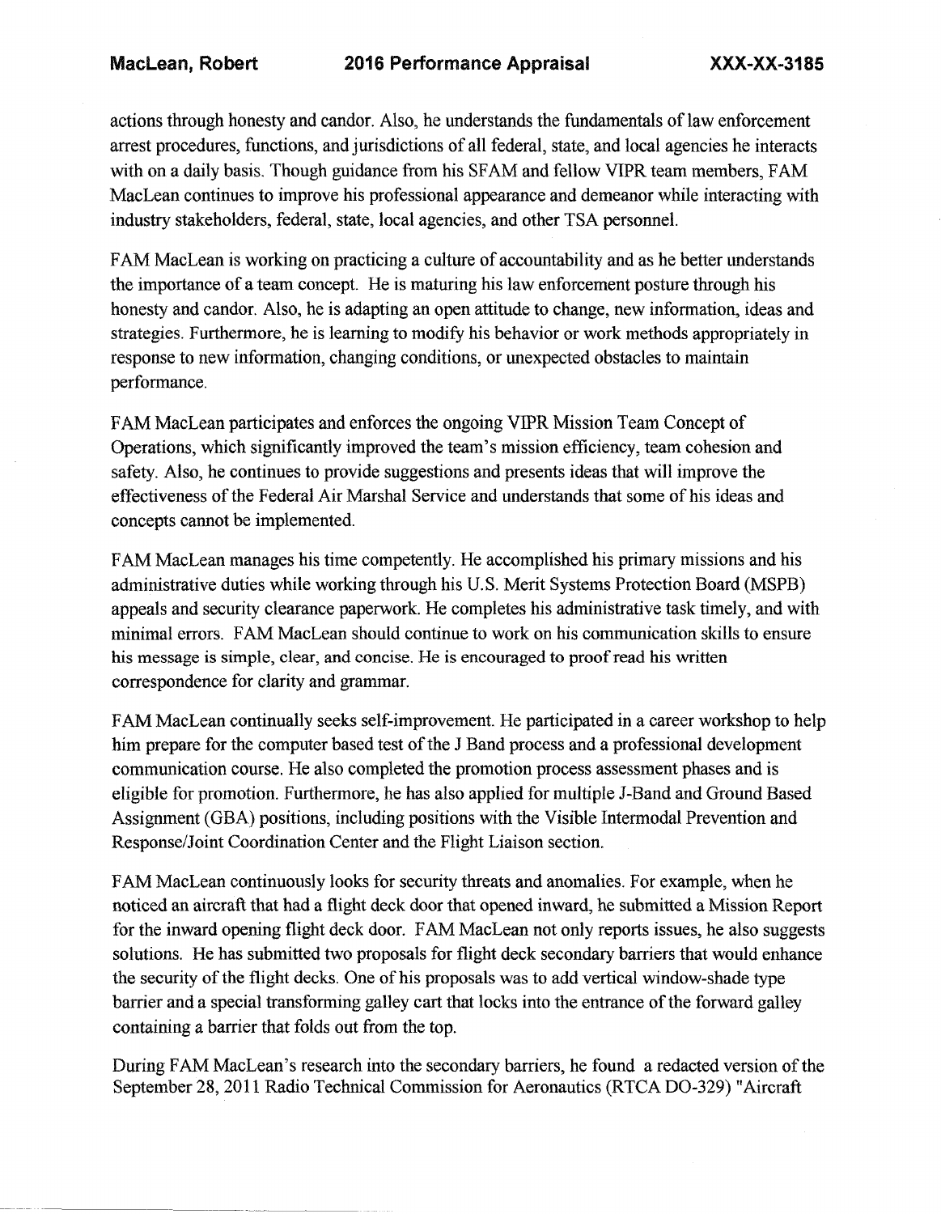actions through honesty and candor. Also, he understands the fundamentals oflaw enforcement arrest procedures, functions, and jurisdictions of all federal, state, and local agencies he interacts with on a daily basis. Though guidance from his SFAM and fellow VIPR team members, FAM MacLean continues to improve his professional appearance and demeanor while interacting with industry stakeholders, federal, state, local agencies, and other TSA personnel.

FAM MacLean is working on practicing a culture of accountability and as he better understands the importance of a team concept. He is maturing his law enforcement posture through his honesty and candor. Also, he is adapting an open attitude to change, new information, ideas and strategies. Furthermore, he is learning to modify his behavior or work methods appropriately in response to new information, changing conditions, or unexpected obstacles to maintain performance.

FAM MacLean participates and enforces the ongoing VIPR Mission Team Concept of Operations, which significantly improved the team's mission efficiency, team cohesion and safety. Also, he continues to provide suggestions and presents ideas that will improve the effectiveness of the Federal Air Marshal Service and understands that some of his ideas and concepts cannot be implemented.

FAM MacLean manages his time competently. He accomplished his primary missions and his administrative duties while working through his U.S. Merit Systems Protection Board (MSPB) appeals and security clearance paperwork. He completes his administrative task timely, and with minimal errors. FAM MacLean should continue to work on his communication skills to ensure his message is simple, clear, and concise. He is encouraged to proof read his written correspondence for clarity and grammar.

FAM MacLean continually seeks self-improvement. He participated in a career workshop to help him prepare for the computer based test of the J Band process and a professional development communication course, He also completed the promotion process assessment phases and is eligible for promotion. Furthermore, he has also applied for multiple J-Band and Ground Based Assignment (GBA) positions, including positions with the Visible Intermodal Prevention and Response/Joint Coordination Center and the Flight Liaison section.

FAM MacLean continuously looks for security threats and anomalies. For example, when he noticed an aircraft that had a flight deck door that opened inward, he submitted a Mission Report for the inward opening flight deck door. FAM MacLean not only reports issues, he also suggests solutions. He has submitted two proposals for flight deck secondary barriers that would enhance the security of the flight decks. One of his proposals was to add vertical window-shade type barrier and a special transforming galley cart that locks into the entrance of the forward galley containing a barrier that folds out from the top.

During FAM MacLean's research into the secondary barriers, he found a redacted version of the September 28,2011 Radio Technical Commission for Aeronautics (RTCA DO-329) "Aircraft